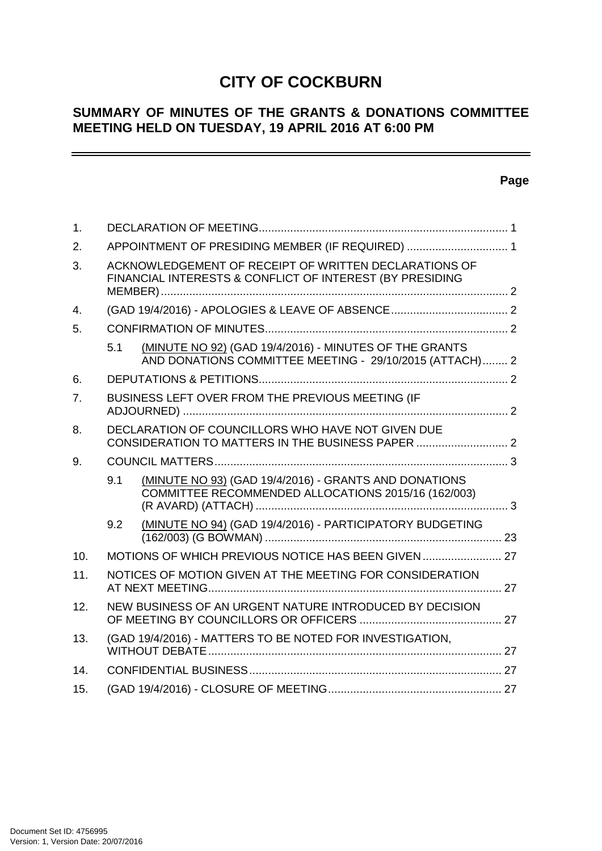# **CITY OF COCKBURN**

# **SUMMARY OF MINUTES OF THE GRANTS & DONATIONS COMMITTEE MEETING HELD ON TUESDAY, 19 APRIL 2016 AT 6:00 PM**

# **Page**

| 1.  |                                                                                                                          |  |
|-----|--------------------------------------------------------------------------------------------------------------------------|--|
| 2.  | APPOINTMENT OF PRESIDING MEMBER (IF REQUIRED)  1                                                                         |  |
| 3.  | ACKNOWLEDGEMENT OF RECEIPT OF WRITTEN DECLARATIONS OF<br>FINANCIAL INTERESTS & CONFLICT OF INTEREST (BY PRESIDING        |  |
| 4.  |                                                                                                                          |  |
| 5.  |                                                                                                                          |  |
|     | (MINUTE NO 92) (GAD 19/4/2016) - MINUTES OF THE GRANTS<br>5.1<br>AND DONATIONS COMMITTEE MEETING - 29/10/2015 (ATTACH) 2 |  |
| 6.  |                                                                                                                          |  |
| 7.  | BUSINESS LEFT OVER FROM THE PREVIOUS MEETING (IF                                                                         |  |
| 8.  | DECLARATION OF COUNCILLORS WHO HAVE NOT GIVEN DUE<br>CONSIDERATION TO MATTERS IN THE BUSINESS PAPER  2                   |  |
| 9.  |                                                                                                                          |  |
|     | (MINUTE NO 93) (GAD 19/4/2016) - GRANTS AND DONATIONS<br>9.1<br>COMMITTEE RECOMMENDED ALLOCATIONS 2015/16 (162/003)      |  |
|     | (MINUTE NO 94) (GAD 19/4/2016) - PARTICIPATORY BUDGETING<br>9.2                                                          |  |
| 10. |                                                                                                                          |  |
| 11. | NOTICES OF MOTION GIVEN AT THE MEETING FOR CONSIDERATION                                                                 |  |
| 12. | NEW BUSINESS OF AN URGENT NATURE INTRODUCED BY DECISION                                                                  |  |
| 13. | (GAD 19/4/2016) - MATTERS TO BE NOTED FOR INVESTIGATION,                                                                 |  |
| 14. |                                                                                                                          |  |
| 15. |                                                                                                                          |  |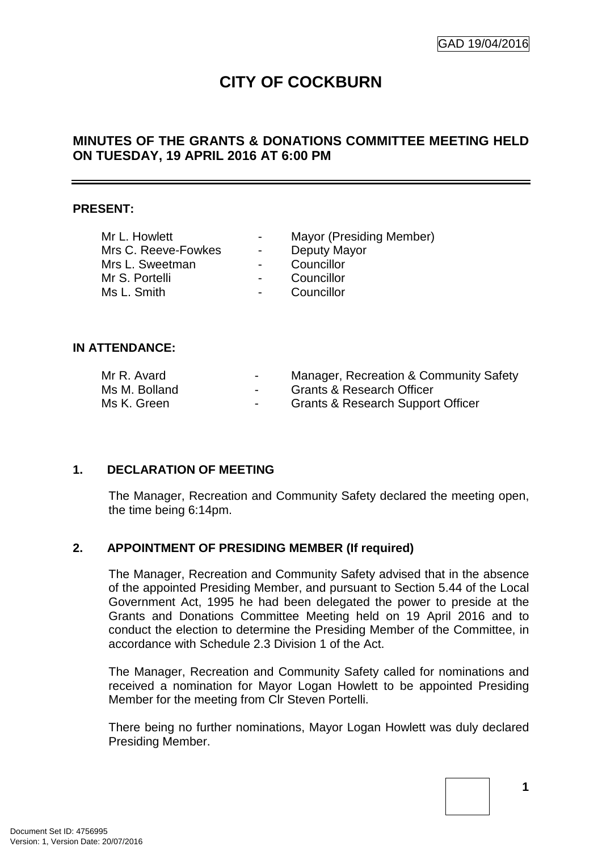# **CITY OF COCKBURN**

# **MINUTES OF THE GRANTS & DONATIONS COMMITTEE MEETING HELD ON TUESDAY, 19 APRIL 2016 AT 6:00 PM**

#### **PRESENT:**

| Mr L. Howlett       | $\sim$ 100 $\mu$         | Mayor (Presiding Member) |  |
|---------------------|--------------------------|--------------------------|--|
| Mrs C. Reeve-Fowkes | $\blacksquare$           | Deputy Mayor             |  |
| Mrs L. Sweetman     | $\blacksquare$           | Councillor               |  |
| Mr S. Portelli      | $\overline{\phantom{a}}$ | Councillor               |  |
| Ms L. Smith         | $\blacksquare$           | Councillor               |  |
|                     |                          |                          |  |

#### **IN ATTENDANCE:**

| Mr R. Avard   | $\sim$ | Manager, Recreation & Community Safety       |
|---------------|--------|----------------------------------------------|
| Ms M. Bolland | $\sim$ | <b>Grants &amp; Research Officer</b>         |
| Ms K. Green   | $\sim$ | <b>Grants &amp; Research Support Officer</b> |

# **1. DECLARATION OF MEETING**

The Manager, Recreation and Community Safety declared the meeting open, the time being 6:14pm.

# **2. APPOINTMENT OF PRESIDING MEMBER (If required)**

The Manager, Recreation and Community Safety advised that in the absence of the appointed Presiding Member, and pursuant to Section 5.44 of the Local Government Act, 1995 he had been delegated the power to preside at the Grants and Donations Committee Meeting held on 19 April 2016 and to conduct the election to determine the Presiding Member of the Committee, in accordance with Schedule 2.3 Division 1 of the Act.

The Manager, Recreation and Community Safety called for nominations and received a nomination for Mayor Logan Howlett to be appointed Presiding Member for the meeting from Clr Steven Portelli.

There being no further nominations, Mayor Logan Howlett was duly declared Presiding Member.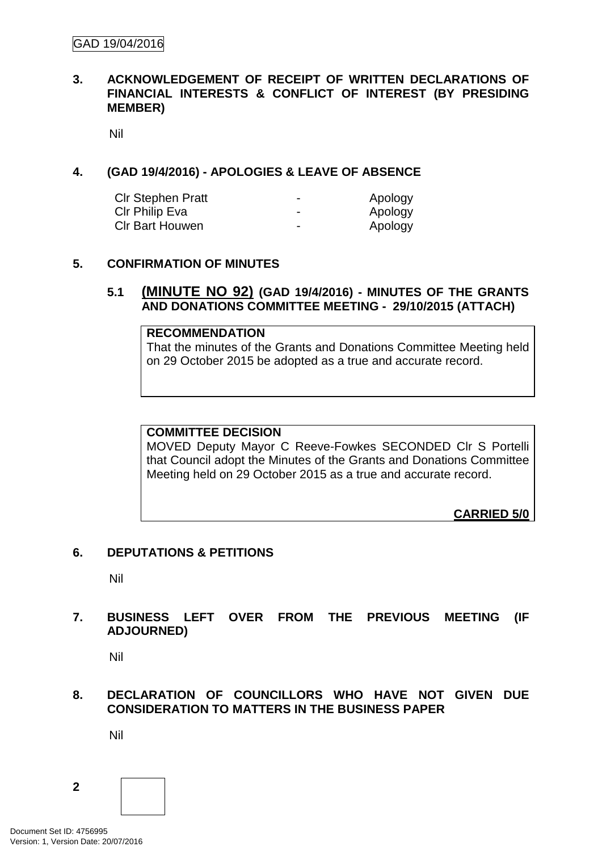# **3. ACKNOWLEDGEMENT OF RECEIPT OF WRITTEN DECLARATIONS OF FINANCIAL INTERESTS & CONFLICT OF INTEREST (BY PRESIDING MEMBER)**

Nil

# **4. (GAD 19/4/2016) - APOLOGIES & LEAVE OF ABSENCE**

| <b>CIr Stephen Pratt</b> | -                        | Apology |
|--------------------------|--------------------------|---------|
| CIr Philip Eva           | $\overline{\phantom{0}}$ | Apology |
| <b>CIr Bart Houwen</b>   | $\overline{\phantom{0}}$ | Apology |

# **5. CONFIRMATION OF MINUTES**

# **5.1 (MINUTE NO 92) (GAD 19/4/2016) - MINUTES OF THE GRANTS AND DONATIONS COMMITTEE MEETING - 29/10/2015 (ATTACH)**

#### **RECOMMENDATION**

That the minutes of the Grants and Donations Committee Meeting held on 29 October 2015 be adopted as a true and accurate record.

### **COMMITTEE DECISION**

MOVED Deputy Mayor C Reeve-Fowkes SECONDED Clr S Portelli that Council adopt the Minutes of the Grants and Donations Committee Meeting held on 29 October 2015 as a true and accurate record.

**CARRIED 5/0**

#### **6. DEPUTATIONS & PETITIONS**

Nil

# **7. BUSINESS LEFT OVER FROM THE PREVIOUS MEETING (IF ADJOURNED)**

Nil

# **8. DECLARATION OF COUNCILLORS WHO HAVE NOT GIVEN DUE CONSIDERATION TO MATTERS IN THE BUSINESS PAPER**

Nil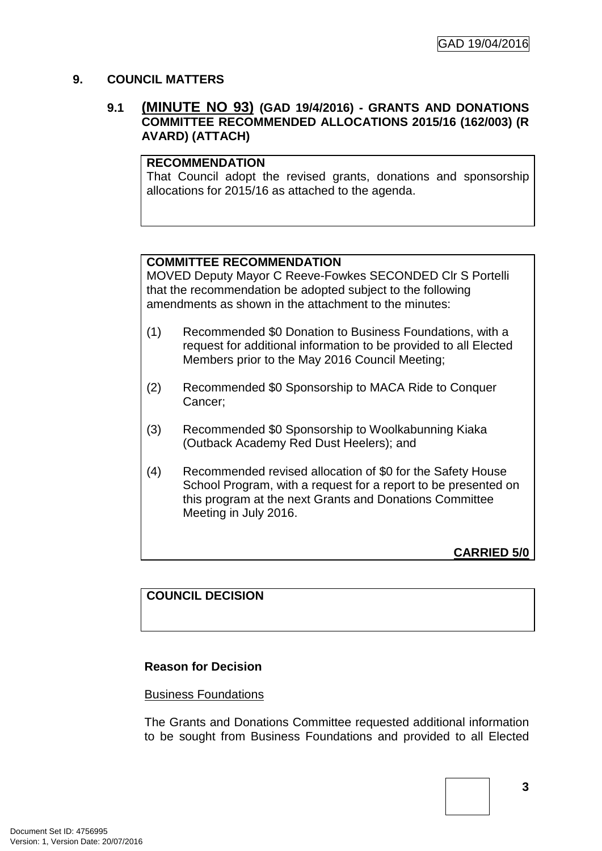# **9. COUNCIL MATTERS**

# **9.1 (MINUTE NO 93) (GAD 19/4/2016) - GRANTS AND DONATIONS COMMITTEE RECOMMENDED ALLOCATIONS 2015/16 (162/003) (R AVARD) (ATTACH)**

# **RECOMMENDATION**

That Council adopt the revised grants, donations and sponsorship allocations for 2015/16 as attached to the agenda.

# **COMMITTEE RECOMMENDATION**

MOVED Deputy Mayor C Reeve-Fowkes SECONDED Clr S Portelli that the recommendation be adopted subject to the following amendments as shown in the attachment to the minutes:

- (1) Recommended \$0 Donation to Business Foundations, with a request for additional information to be provided to all Elected Members prior to the May 2016 Council Meeting;
- (2) Recommended \$0 Sponsorship to MACA Ride to Conquer Cancer;
- (3) Recommended \$0 Sponsorship to Woolkabunning Kiaka (Outback Academy Red Dust Heelers); and
- (4) Recommended revised allocation of \$0 for the Safety House School Program, with a request for a report to be presented on this program at the next Grants and Donations Committee Meeting in July 2016.

**CARRIED 5/0**

# **COUNCIL DECISION**

# **Reason for Decision**

#### Business Foundations

The Grants and Donations Committee requested additional information to be sought from Business Foundations and provided to all Elected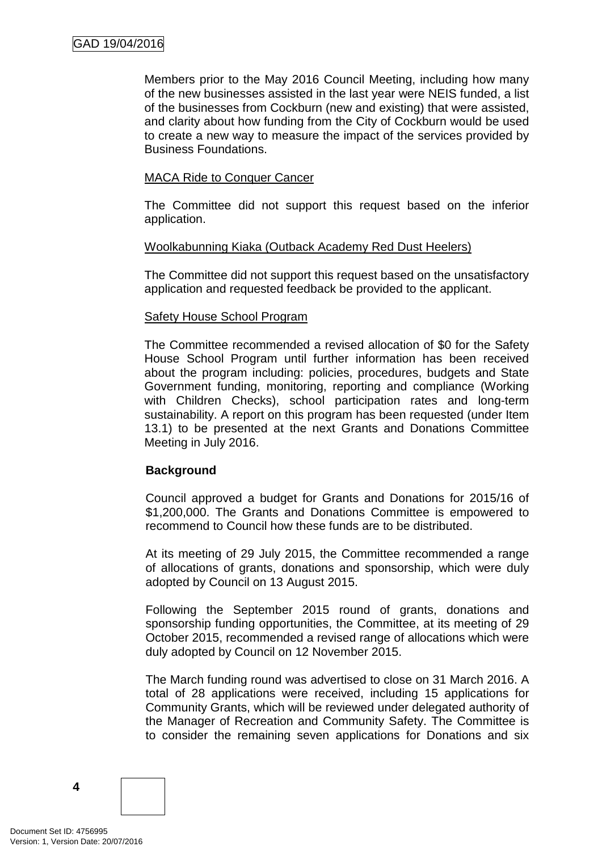Members prior to the May 2016 Council Meeting, including how many of the new businesses assisted in the last year were NEIS funded, a list of the businesses from Cockburn (new and existing) that were assisted, and clarity about how funding from the City of Cockburn would be used to create a new way to measure the impact of the services provided by Business Foundations.

### MACA Ride to Conquer Cancer

The Committee did not support this request based on the inferior application.

#### Woolkabunning Kiaka (Outback Academy Red Dust Heelers)

The Committee did not support this request based on the unsatisfactory application and requested feedback be provided to the applicant.

#### Safety House School Program

The Committee recommended a revised allocation of \$0 for the Safety House School Program until further information has been received about the program including: policies, procedures, budgets and State Government funding, monitoring, reporting and compliance (Working with Children Checks), school participation rates and long-term sustainability. A report on this program has been requested (under Item 13.1) to be presented at the next Grants and Donations Committee Meeting in July 2016.

# **Background**

Council approved a budget for Grants and Donations for 2015/16 of \$1,200,000. The Grants and Donations Committee is empowered to recommend to Council how these funds are to be distributed.

At its meeting of 29 July 2015, the Committee recommended a range of allocations of grants, donations and sponsorship, which were duly adopted by Council on 13 August 2015.

Following the September 2015 round of grants, donations and sponsorship funding opportunities, the Committee, at its meeting of 29 October 2015, recommended a revised range of allocations which were duly adopted by Council on 12 November 2015.

The March funding round was advertised to close on 31 March 2016. A total of 28 applications were received, including 15 applications for Community Grants, which will be reviewed under delegated authority of the Manager of Recreation and Community Safety. The Committee is to consider the remaining seven applications for Donations and six

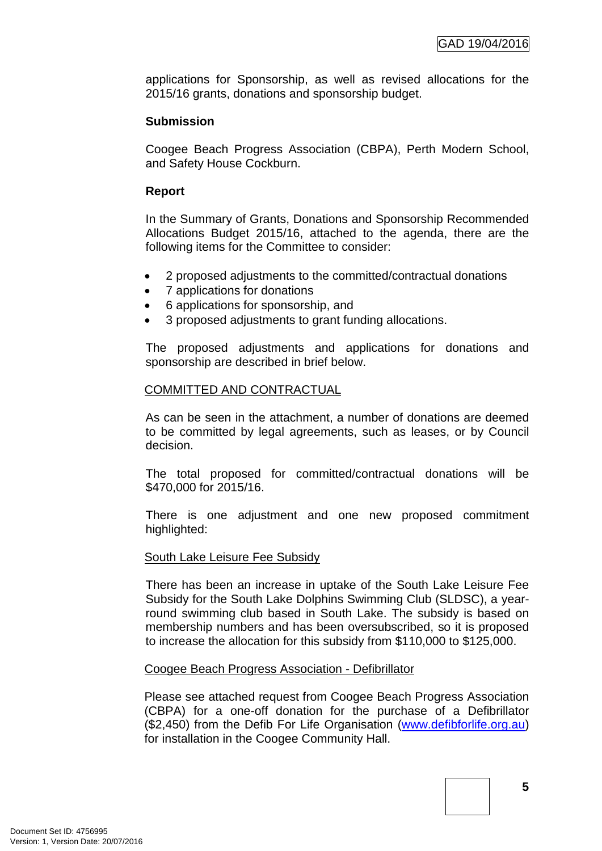applications for Sponsorship, as well as revised allocations for the 2015/16 grants, donations and sponsorship budget.

# **Submission**

Coogee Beach Progress Association (CBPA), Perth Modern School, and Safety House Cockburn.

# **Report**

In the Summary of Grants, Donations and Sponsorship Recommended Allocations Budget 2015/16, attached to the agenda, there are the following items for the Committee to consider:

- 2 proposed adjustments to the committed/contractual donations
- 7 applications for donations
- 6 applications for sponsorship, and
- 3 proposed adjustments to grant funding allocations.

The proposed adjustments and applications for donations and sponsorship are described in brief below.

# COMMITTED AND CONTRACTUAL

As can be seen in the attachment, a number of donations are deemed to be committed by legal agreements, such as leases, or by Council decision.

The total proposed for committed/contractual donations will be \$470,000 for 2015/16.

There is one adjustment and one new proposed commitment highlighted:

# South Lake Leisure Fee Subsidy

There has been an increase in uptake of the South Lake Leisure Fee Subsidy for the South Lake Dolphins Swimming Club (SLDSC), a yearround swimming club based in South Lake. The subsidy is based on membership numbers and has been oversubscribed, so it is proposed to increase the allocation for this subsidy from \$110,000 to \$125,000.

# Coogee Beach Progress Association - Defibrillator

Please see attached request from Coogee Beach Progress Association (CBPA) for a one-off donation for the purchase of a Defibrillator (\$2,450) from the Defib For Life Organisation [\(www.defibforlife.org.au\)](http://www.defibforlife.org.au/) for installation in the Coogee Community Hall.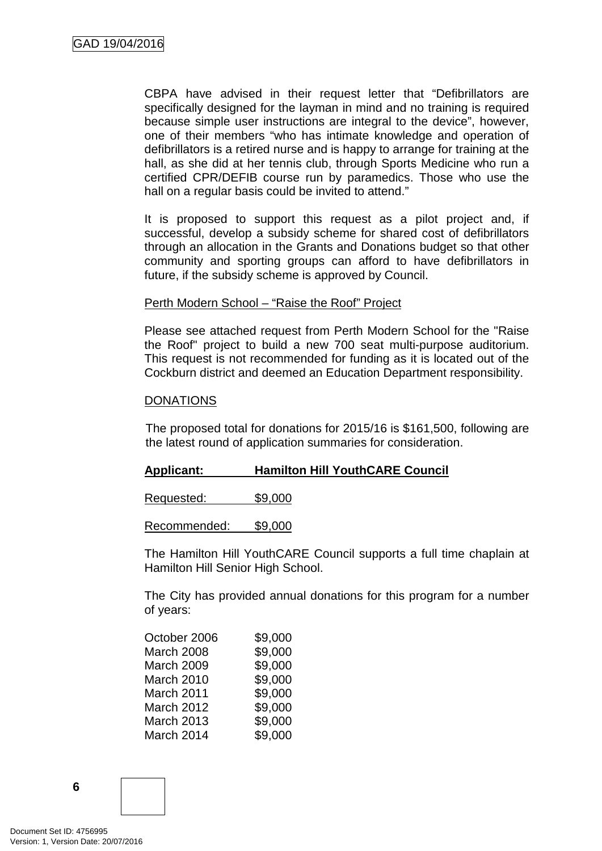CBPA have advised in their request letter that "Defibrillators are specifically designed for the layman in mind and no training is required because simple user instructions are integral to the device", however, one of their members "who has intimate knowledge and operation of defibrillators is a retired nurse and is happy to arrange for training at the hall, as she did at her tennis club, through Sports Medicine who run a certified CPR/DEFIB course run by paramedics. Those who use the hall on a regular basis could be invited to attend."

It is proposed to support this request as a pilot project and, if successful, develop a subsidy scheme for shared cost of defibrillators through an allocation in the Grants and Donations budget so that other community and sporting groups can afford to have defibrillators in future, if the subsidy scheme is approved by Council.

#### Perth Modern School – "Raise the Roof" Project

Please see attached request from Perth Modern School for the "Raise the Roof" project to build a new 700 seat multi-purpose auditorium. This request is not recommended for funding as it is located out of the Cockburn district and deemed an Education Department responsibility.

#### **DONATIONS**

The proposed total for donations for 2015/16 is \$161,500, following are the latest round of application summaries for consideration.

#### **Applicant: Hamilton Hill YouthCARE Council**

Requested: \$9,000

Recommended: \$9,000

The Hamilton Hill YouthCARE Council supports a full time chaplain at Hamilton Hill Senior High School.

The City has provided annual donations for this program for a number of years:

| October 2006      | \$9,000 |
|-------------------|---------|
| <b>March 2008</b> | \$9,000 |
| <b>March 2009</b> | \$9,000 |
| March 2010        | \$9,000 |
| March 2011        | \$9,000 |
| <b>March 2012</b> | \$9,000 |
| <b>March 2013</b> | \$9,000 |
| March 2014        | \$9,000 |
|                   |         |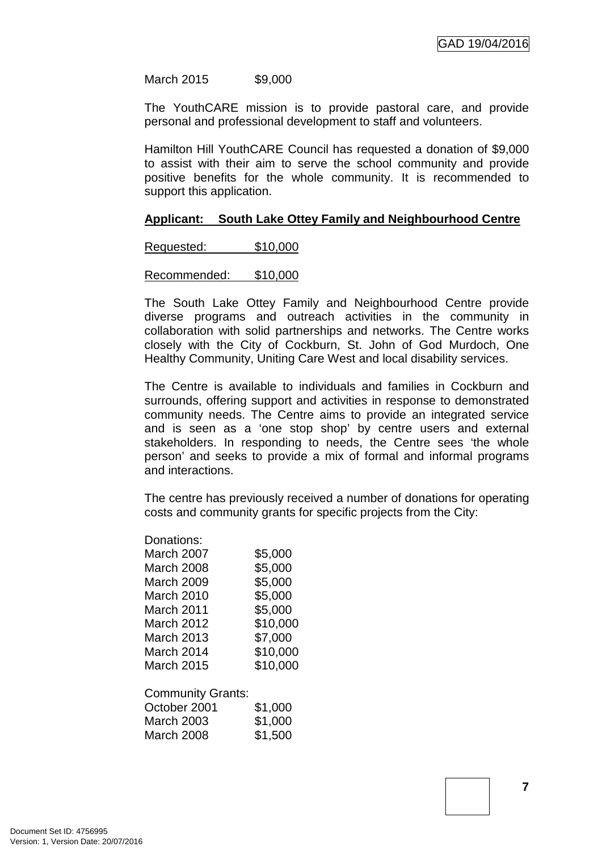March 2015 \$9,000

The YouthCARE mission is to provide pastoral care, and provide personal and professional development to staff and volunteers.

Hamilton Hill YouthCARE Council has requested a donation of \$9,000 to assist with their aim to serve the school community and provide positive benefits for the whole community. It is recommended to support this application.

#### **Applicant: South Lake Ottey Family and Neighbourhood Centre**

Requested: \$10,000

Recommended: \$10,000

The South Lake Ottey Family and Neighbourhood Centre provide diverse programs and outreach activities in the community in collaboration with solid partnerships and networks. The Centre works closely with the City of Cockburn, St. John of God Murdoch, One Healthy Community, Uniting Care West and local disability services.

The Centre is available to individuals and families in Cockburn and surrounds, offering support and activities in response to demonstrated community needs. The Centre aims to provide an integrated service and is seen as a 'one stop shop' by centre users and external stakeholders. In responding to needs, the Centre sees 'the whole person' and seeks to provide a mix of formal and informal programs and interactions.

The centre has previously received a number of donations for operating costs and community grants for specific projects from the City:

| Donations:        |          |
|-------------------|----------|
| March 2007        | \$5,000  |
| <b>March 2008</b> | \$5,000  |
| March 2009        | \$5,000  |
| March 2010        | \$5,000  |
| March 2011        | \$5,000  |
| March 2012        | \$10,000 |
| March 2013        | \$7,000  |
| March 2014        | \$10,000 |
| <b>March 2015</b> | \$10,000 |
|                   |          |

Community Grants: October 2001 \$1,000 March 2003 \$1,000 March 2008 \$1,500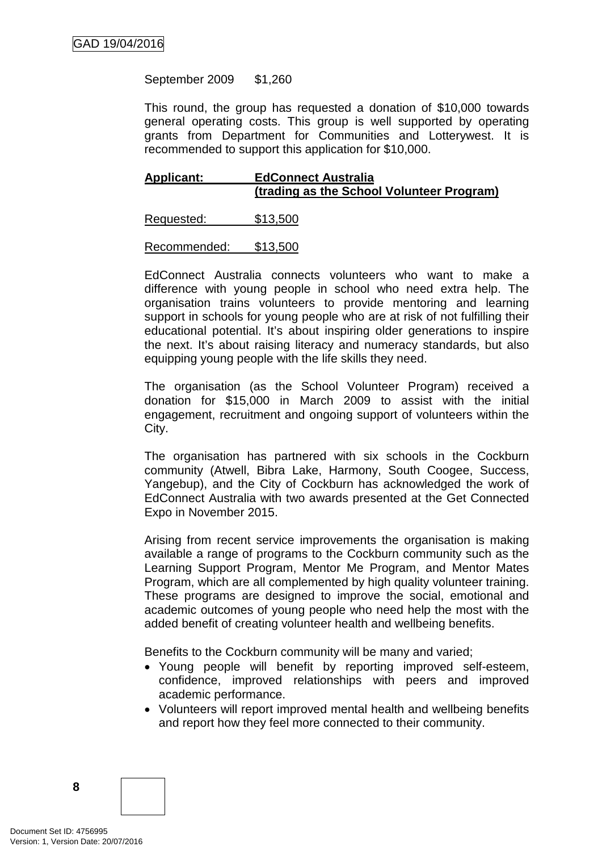September 2009 \$1,260

This round, the group has requested a donation of \$10,000 towards general operating costs. This group is well supported by operating grants from Department for Communities and Lotterywest. It is recommended to support this application for \$10,000.

# **Applicant: EdConnect Australia (trading as the School Volunteer Program)**

Requested: \$13,500

Recommended: \$13,500

EdConnect Australia connects volunteers who want to make a difference with young people in school who need extra help. The organisation trains volunteers to provide mentoring and learning support in schools for young people who are at risk of not fulfilling their educational potential. It's about inspiring older generations to inspire the next. It's about raising literacy and numeracy standards, but also equipping young people with the life skills they need.

The organisation (as the School Volunteer Program) received a donation for \$15,000 in March 2009 to assist with the initial engagement, recruitment and ongoing support of volunteers within the City.

The organisation has partnered with six schools in the Cockburn community (Atwell, Bibra Lake, Harmony, South Coogee, Success, Yangebup), and the City of Cockburn has acknowledged the work of EdConnect Australia with two awards presented at the Get Connected Expo in November 2015.

Arising from recent service improvements the organisation is making available a range of programs to the Cockburn community such as the Learning Support Program, Mentor Me Program, and Mentor Mates Program, which are all complemented by high quality volunteer training. These programs are designed to improve the social, emotional and academic outcomes of young people who need help the most with the added benefit of creating volunteer health and wellbeing benefits.

Benefits to the Cockburn community will be many and varied;

- Young people will benefit by reporting improved self-esteem, confidence, improved relationships with peers and improved academic performance.
- Volunteers will report improved mental health and wellbeing benefits and report how they feel more connected to their community.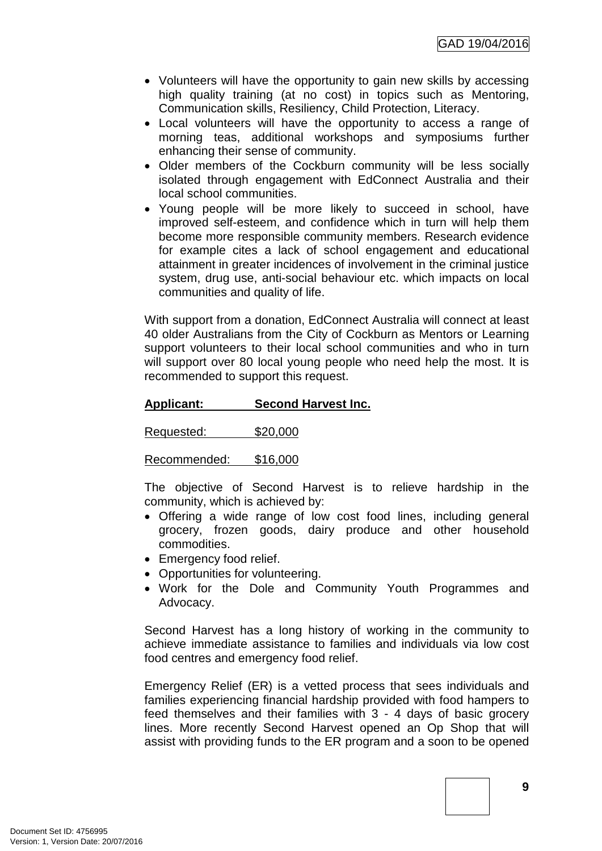- Volunteers will have the opportunity to gain new skills by accessing high quality training (at no cost) in topics such as Mentoring, Communication skills, Resiliency, Child Protection, Literacy.
- Local volunteers will have the opportunity to access a range of morning teas, additional workshops and symposiums further enhancing their sense of community.
- Older members of the Cockburn community will be less socially isolated through engagement with EdConnect Australia and their local school communities.
- Young people will be more likely to succeed in school, have improved self-esteem, and confidence which in turn will help them become more responsible community members. Research evidence for example cites a lack of school engagement and educational attainment in greater incidences of involvement in the criminal justice system, drug use, anti-social behaviour etc. which impacts on local communities and quality of life.

With support from a donation, EdConnect Australia will connect at least 40 older Australians from the City of Cockburn as Mentors or Learning support volunteers to their local school communities and who in turn will support over 80 local young people who need help the most. It is recommended to support this request.

# **Applicant: Second Harvest Inc.**

Requested: \$20,000

Recommended: \$16,000

The objective of Second Harvest is to relieve hardship in the community, which is achieved by:

- Offering a wide range of low cost food lines, including general grocery, frozen goods, dairy produce and other household commodities.
- Emergency food relief.
- Opportunities for volunteering.
- Work for the Dole and Community Youth Programmes and Advocacy.

Second Harvest has a long history of working in the community to achieve immediate assistance to families and individuals via low cost food centres and emergency food relief.

Emergency Relief (ER) is a vetted process that sees individuals and families experiencing financial hardship provided with food hampers to feed themselves and their families with 3 - 4 days of basic grocery lines. More recently Second Harvest opened an Op Shop that will assist with providing funds to the ER program and a soon to be opened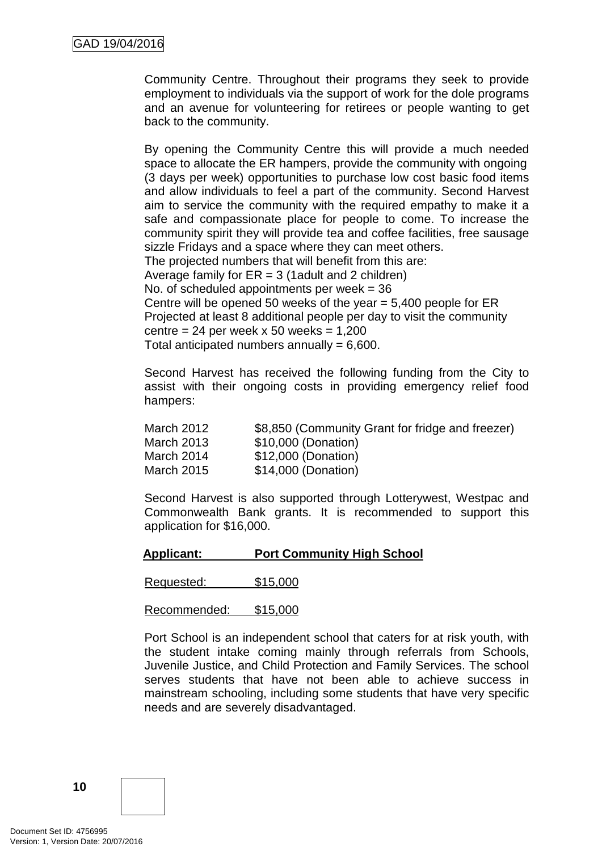Community Centre. Throughout their programs they seek to provide employment to individuals via the support of work for the dole programs and an avenue for volunteering for retirees or people wanting to get back to the community.

By opening the Community Centre this will provide a much needed space to allocate the ER hampers, provide the community with ongoing (3 days per week) opportunities to purchase low cost basic food items and allow individuals to feel a part of the community. Second Harvest aim to service the community with the required empathy to make it a safe and compassionate place for people to come. To increase the community spirit they will provide tea and coffee facilities, free sausage sizzle Fridays and a space where they can meet others. The projected numbers that will benefit from this are: Average family for  $ER = 3$  (1 adult and 2 children) No. of scheduled appointments per week  $= 36$ Centre will be opened 50 weeks of the year  $= 5,400$  people for ER Projected at least 8 additional people per day to visit the community centre =  $24$  per week x 50 weeks = 1,200 Total anticipated numbers annually  $= 6,600$ .

Second Harvest has received the following funding from the City to assist with their ongoing costs in providing emergency relief food hampers:

| March 2012 | \$8,850 (Community Grant for fridge and freezer) |
|------------|--------------------------------------------------|
| March 2013 | \$10,000 (Donation)                              |
| March 2014 | \$12,000 (Donation)                              |
| March 2015 | \$14,000 (Donation)                              |

Second Harvest is also supported through Lotterywest, Westpac and Commonwealth Bank grants. It is recommended to support this application for \$16,000.

**Applicant: Port Community High School**

Requested: \$15,000

Recommended: \$15,000

Port School is an independent school that caters for at risk youth, with the student intake coming mainly through referrals from Schools, Juvenile Justice, and Child Protection and Family Services. The school serves students that have not been able to achieve success in mainstream schooling, including some students that have very specific needs and are severely disadvantaged.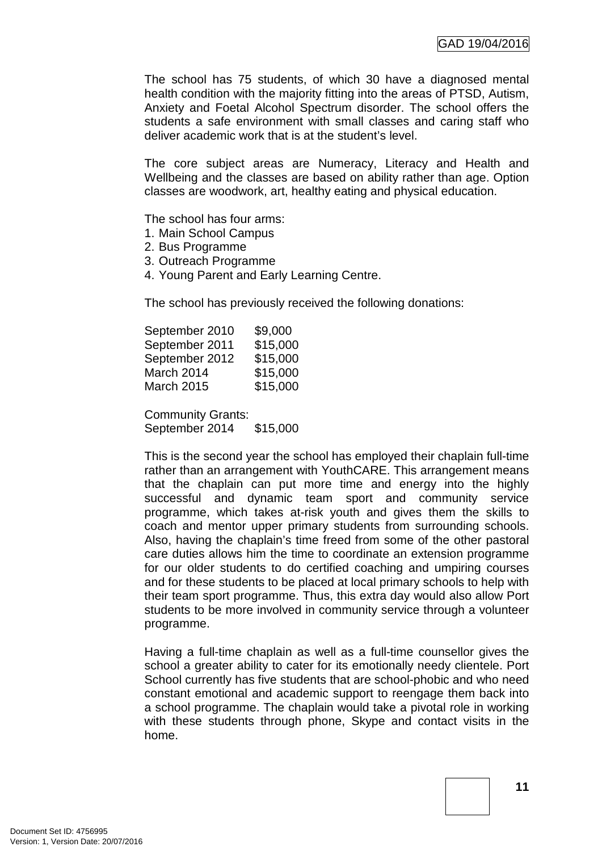The school has 75 students, of which 30 have a diagnosed mental health condition with the majority fitting into the areas of PTSD, Autism, Anxiety and Foetal Alcohol Spectrum disorder. The school offers the students a safe environment with small classes and caring staff who deliver academic work that is at the student's level.

The core subject areas are Numeracy, Literacy and Health and Wellbeing and the classes are based on ability rather than age. Option classes are woodwork, art, healthy eating and physical education.

The school has four arms:

- 1. Main School Campus
- 2. Bus Programme
- 3. Outreach Programme
- 4. Young Parent and Early Learning Centre.

The school has previously received the following donations:

| September 2010    | \$9,000  |
|-------------------|----------|
| September 2011    | \$15,000 |
| September 2012    | \$15,000 |
| March 2014        | \$15,000 |
| <b>March 2015</b> | \$15,000 |
|                   |          |

Community Grants: September 2014 \$15,000

This is the second year the school has employed their chaplain full-time rather than an arrangement with YouthCARE. This arrangement means that the chaplain can put more time and energy into the highly successful and dynamic team sport and community service programme, which takes at-risk youth and gives them the skills to coach and mentor upper primary students from surrounding schools. Also, having the chaplain's time freed from some of the other pastoral care duties allows him the time to coordinate an extension programme for our older students to do certified coaching and umpiring courses and for these students to be placed at local primary schools to help with their team sport programme. Thus, this extra day would also allow Port students to be more involved in community service through a volunteer programme.

Having a full-time chaplain as well as a full-time counsellor gives the school a greater ability to cater for its emotionally needy clientele. Port School currently has five students that are school-phobic and who need constant emotional and academic support to reengage them back into a school programme. The chaplain would take a pivotal role in working with these students through phone, Skype and contact visits in the home.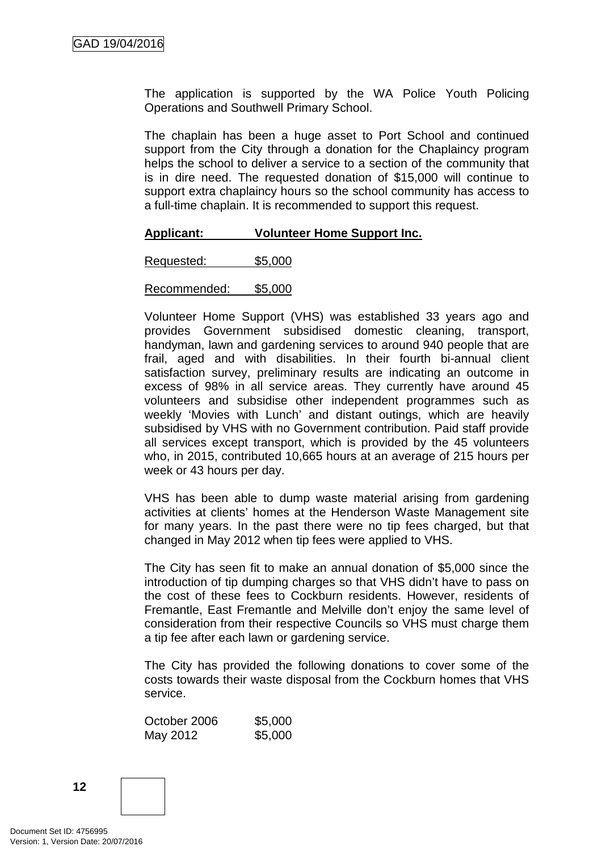The application is supported by the WA Police Youth Policing Operations and Southwell Primary School.

The chaplain has been a huge asset to Port School and continued support from the City through a donation for the Chaplaincy program helps the school to deliver a service to a section of the community that is in dire need. The requested donation of \$15,000 will continue to support extra chaplaincy hours so the school community has access to a full-time chaplain. It is recommended to support this request.

#### **Applicant: Volunteer Home Support Inc.**

Requested: \$5,000

Recommended: \$5,000

Volunteer Home Support (VHS) was established 33 years ago and provides Government subsidised domestic cleaning, transport, handyman, lawn and gardening services to around 940 people that are frail, aged and with disabilities. In their fourth bi-annual client satisfaction survey, preliminary results are indicating an outcome in excess of 98% in all service areas. They currently have around 45 volunteers and subsidise other independent programmes such as weekly 'Movies with Lunch' and distant outings, which are heavily subsidised by VHS with no Government contribution. Paid staff provide all services except transport, which is provided by the 45 volunteers who, in 2015, contributed 10,665 hours at an average of 215 hours per week or 43 hours per day.

VHS has been able to dump waste material arising from gardening activities at clients' homes at the Henderson Waste Management site for many years. In the past there were no tip fees charged, but that changed in May 2012 when tip fees were applied to VHS.

The City has seen fit to make an annual donation of \$5,000 since the introduction of tip dumping charges so that VHS didn't have to pass on the cost of these fees to Cockburn residents. However, residents of Fremantle, East Fremantle and Melville don't enjoy the same level of consideration from their respective Councils so VHS must charge them a tip fee after each lawn or gardening service.

The City has provided the following donations to cover some of the costs towards their waste disposal from the Cockburn homes that VHS service.

October 2006 \$5,000 May 2012 \$5,000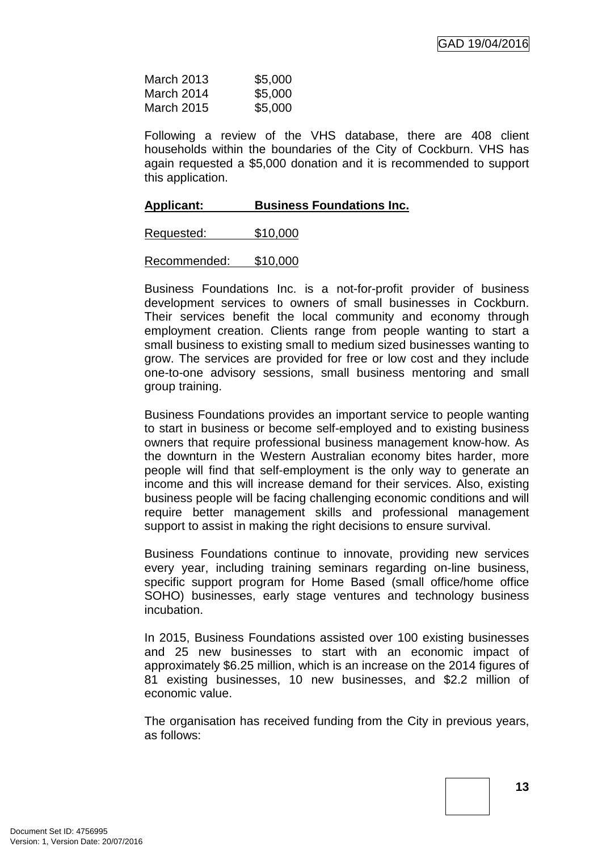| March 2013        | \$5,000 |
|-------------------|---------|
| March 2014        | \$5,000 |
| <b>March 2015</b> | \$5,000 |

Following a review of the VHS database, there are 408 client households within the boundaries of the City of Cockburn. VHS has again requested a \$5,000 donation and it is recommended to support this application.

#### **Applicant: Business Foundations Inc.**

| Requested: | \$10,000 |
|------------|----------|
|------------|----------|

Recommended: \$10,000

Business Foundations Inc. is a not-for-profit provider of business development services to owners of small businesses in Cockburn. Their services benefit the local community and economy through employment creation. Clients range from people wanting to start a small business to existing small to medium sized businesses wanting to grow. The services are provided for free or low cost and they include one-to-one advisory sessions, small business mentoring and small group training.

Business Foundations provides an important service to people wanting to start in business or become self-employed and to existing business owners that require professional business management know-how. As the downturn in the Western Australian economy bites harder, more people will find that self-employment is the only way to generate an income and this will increase demand for their services. Also, existing business people will be facing challenging economic conditions and will require better management skills and professional management support to assist in making the right decisions to ensure survival.

Business Foundations continue to innovate, providing new services every year, including training seminars regarding on-line business, specific support program for Home Based (small office/home office SOHO) businesses, early stage ventures and technology business incubation.

In 2015, Business Foundations assisted over 100 existing businesses and 25 new businesses to start with an economic impact of approximately \$6.25 million, which is an increase on the 2014 figures of 81 existing businesses, 10 new businesses, and \$2.2 million of economic value.

The organisation has received funding from the City in previous years, as follows: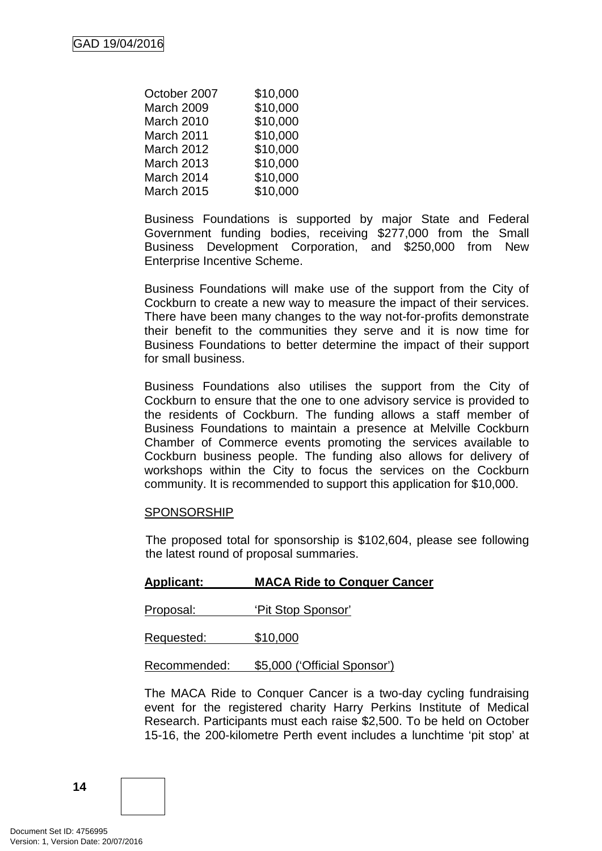| October 2007      | \$10,000 |
|-------------------|----------|
| March 2009        | \$10,000 |
| March 2010        | \$10,000 |
| March 2011        | \$10,000 |
| <b>March 2012</b> | \$10,000 |
| <b>March 2013</b> | \$10,000 |
| March 2014        | \$10,000 |
| <b>March 2015</b> | \$10,000 |

Business Foundations is supported by major State and Federal Government funding bodies, receiving \$277,000 from the Small Business Development Corporation, and \$250,000 from New Enterprise Incentive Scheme.

Business Foundations will make use of the support from the City of Cockburn to create a new way to measure the impact of their services. There have been many changes to the way not-for-profits demonstrate their benefit to the communities they serve and it is now time for Business Foundations to better determine the impact of their support for small business.

Business Foundations also utilises the support from the City of Cockburn to ensure that the one to one advisory service is provided to the residents of Cockburn. The funding allows a staff member of Business Foundations to maintain a presence at Melville Cockburn Chamber of Commerce events promoting the services available to Cockburn business people. The funding also allows for delivery of workshops within the City to focus the services on the Cockburn community. It is recommended to support this application for \$10,000.

#### SPONSORSHIP

The proposed total for sponsorship is \$102,604, please see following the latest round of proposal summaries.

#### **Applicant: MACA Ride to Conquer Cancer**

Proposal: 'Pit Stop Sponsor'

Requested: \$10,000

Recommended: \$5,000 ('Official Sponsor')

The MACA Ride to Conquer Cancer is a two-day cycling fundraising event for the registered charity Harry Perkins Institute of Medical Research. Participants must each raise \$2,500. To be held on October 15-16, the 200-kilometre Perth event includes a lunchtime 'pit stop' at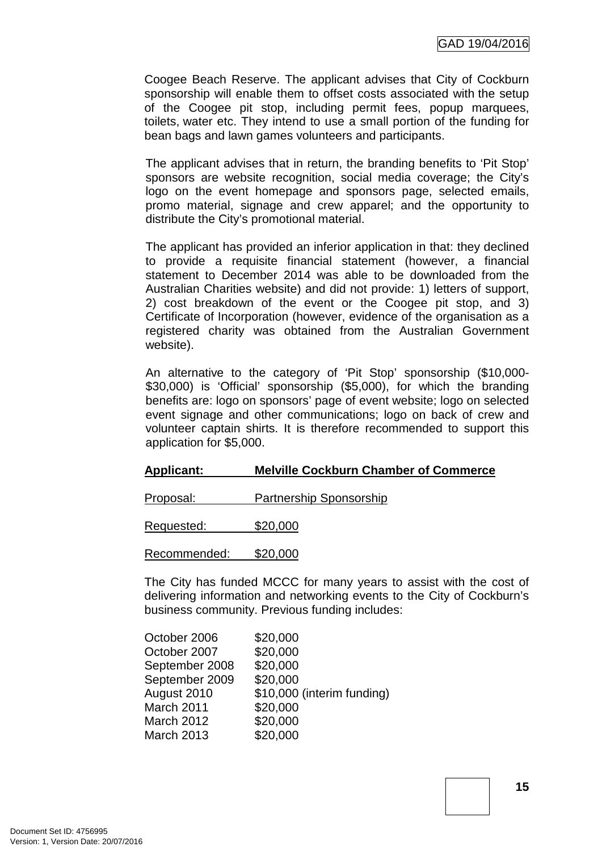Coogee Beach Reserve. The applicant advises that City of Cockburn sponsorship will enable them to offset costs associated with the setup of the Coogee pit stop, including permit fees, popup marquees, toilets, water etc. They intend to use a small portion of the funding for bean bags and lawn games volunteers and participants.

The applicant advises that in return, the branding benefits to 'Pit Stop' sponsors are website recognition, social media coverage; the City's logo on the event homepage and sponsors page, selected emails, promo material, signage and crew apparel; and the opportunity to distribute the City's promotional material.

The applicant has provided an inferior application in that: they declined to provide a requisite financial statement (however, a financial statement to December 2014 was able to be downloaded from the Australian Charities website) and did not provide: 1) letters of support, 2) cost breakdown of the event or the Coogee pit stop, and 3) Certificate of Incorporation (however, evidence of the organisation as a registered charity was obtained from the Australian Government website).

An alternative to the category of 'Pit Stop' sponsorship (\$10,000- \$30,000) is 'Official' sponsorship (\$5,000), for which the branding benefits are: logo on sponsors' page of event website; logo on selected event signage and other communications; logo on back of crew and volunteer captain shirts. It is therefore recommended to support this application for \$5,000.

#### **Applicant: Melville Cockburn Chamber of Commerce**

| Proposal: | <b>Partnership Sponsorship</b> |  |
|-----------|--------------------------------|--|
|           |                                |  |

Requested: \$20,000

Recommended: \$20,000

The City has funded MCCC for many years to assist with the cost of delivering information and networking events to the City of Cockburn's business community. Previous funding includes:

| October 2006      | \$20,000                   |
|-------------------|----------------------------|
| October 2007      | \$20,000                   |
| September 2008    | \$20,000                   |
| September 2009    | \$20,000                   |
| August 2010       | \$10,000 (interim funding) |
| March 2011        | \$20,000                   |
| <b>March 2012</b> | \$20,000                   |
| <b>March 2013</b> | \$20,000                   |
|                   |                            |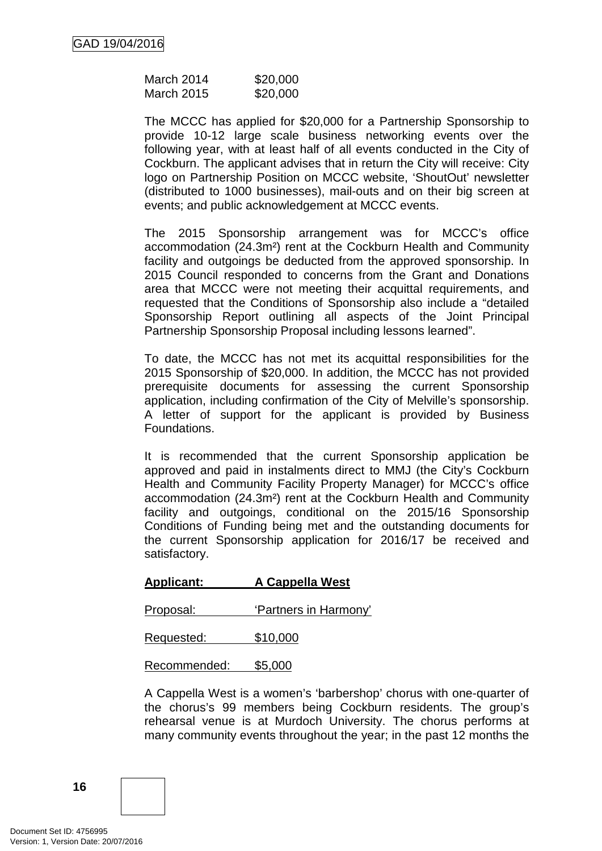| March 2014        | \$20,000 |
|-------------------|----------|
| <b>March 2015</b> | \$20,000 |

The MCCC has applied for \$20,000 for a Partnership Sponsorship to provide 10-12 large scale business networking events over the following year, with at least half of all events conducted in the City of Cockburn. The applicant advises that in return the City will receive: City logo on Partnership Position on MCCC website, 'ShoutOut' newsletter (distributed to 1000 businesses), mail-outs and on their big screen at events; and public acknowledgement at MCCC events.

The 2015 Sponsorship arrangement was for MCCC's office accommodation (24.3m²) rent at the Cockburn Health and Community facility and outgoings be deducted from the approved sponsorship. In 2015 Council responded to concerns from the Grant and Donations area that MCCC were not meeting their acquittal requirements, and requested that the Conditions of Sponsorship also include a "detailed Sponsorship Report outlining all aspects of the Joint Principal Partnership Sponsorship Proposal including lessons learned".

To date, the MCCC has not met its acquittal responsibilities for the 2015 Sponsorship of \$20,000. In addition, the MCCC has not provided prerequisite documents for assessing the current Sponsorship application, including confirmation of the City of Melville's sponsorship. A letter of support for the applicant is provided by Business Foundations.

It is recommended that the current Sponsorship application be approved and paid in instalments direct to MMJ (the City's Cockburn Health and Community Facility Property Manager) for MCCC's office accommodation (24.3m²) rent at the Cockburn Health and Community facility and outgoings, conditional on the 2015/16 Sponsorship Conditions of Funding being met and the outstanding documents for the current Sponsorship application for 2016/17 be received and satisfactory.

#### **Applicant: A Cappella West**

Proposal: 'Partners in Harmony'

Requested: \$10,000

Recommended: \$5,000

A Cappella West is a women's 'barbershop' chorus with one-quarter of the chorus's 99 members being Cockburn residents. The group's rehearsal venue is at Murdoch University. The chorus performs at many community events throughout the year; in the past 12 months the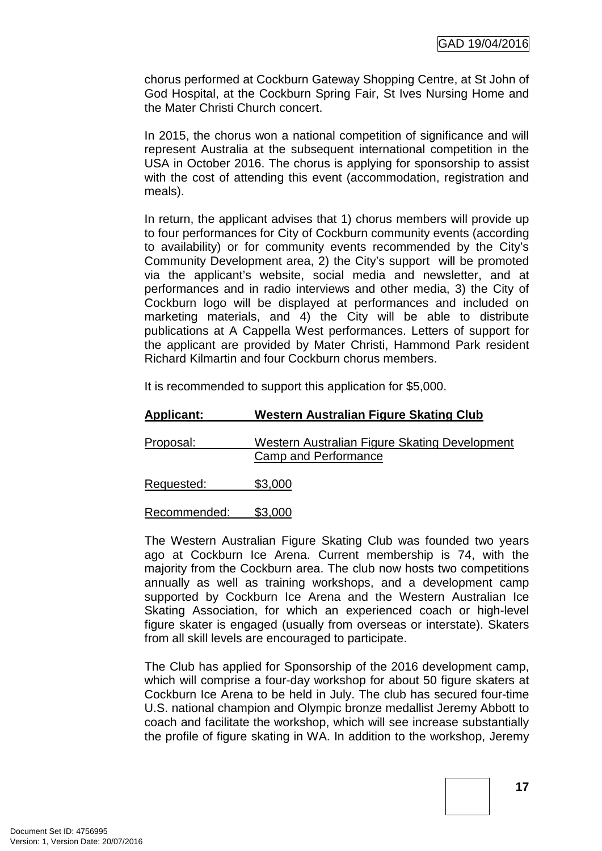chorus performed at Cockburn Gateway Shopping Centre, at St John of God Hospital, at the Cockburn Spring Fair, St Ives Nursing Home and the Mater Christi Church concert.

In 2015, the chorus won a national competition of significance and will represent Australia at the subsequent international competition in the USA in October 2016. The chorus is applying for sponsorship to assist with the cost of attending this event (accommodation, registration and meals).

In return, the applicant advises that 1) chorus members will provide up to four performances for City of Cockburn community events (according to availability) or for community events recommended by the City's Community Development area, 2) the City's support will be promoted via the applicant's website, social media and newsletter, and at performances and in radio interviews and other media, 3) the City of Cockburn logo will be displayed at performances and included on marketing materials, and 4) the City will be able to distribute publications at A Cappella West performances. Letters of support for the applicant are provided by Mater Christi, Hammond Park resident Richard Kilmartin and four Cockburn chorus members.

It is recommended to support this application for \$5,000.

| <b>Applicant:</b> | Western Australian Figure Skating Club                                |  |
|-------------------|-----------------------------------------------------------------------|--|
| Proposal:         | Western Australian Figure Skating Development<br>Camp and Performance |  |
| Requested:        | \$3,000                                                               |  |
| Recommended:      | \$3,000                                                               |  |

The Western Australian Figure Skating Club was founded two years ago at Cockburn Ice Arena. Current membership is 74, with the majority from the Cockburn area. The club now hosts two competitions annually as well as training workshops, and a development camp supported by Cockburn Ice Arena and the Western Australian Ice Skating Association, for which an experienced coach or high-level figure skater is engaged (usually from overseas or interstate). Skaters from all skill levels are encouraged to participate.

The Club has applied for Sponsorship of the 2016 development camp, which will comprise a four-day workshop for about 50 figure skaters at Cockburn Ice Arena to be held in July. The club has secured four-time U.S. national champion and Olympic bronze medallist Jeremy Abbott to coach and facilitate the workshop, which will see increase substantially the profile of figure skating in WA. In addition to the workshop, Jeremy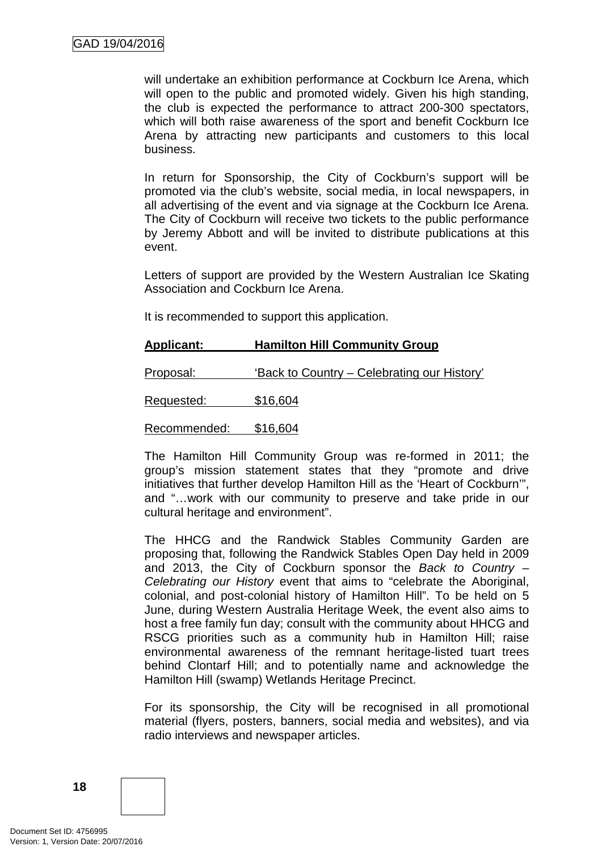will undertake an exhibition performance at Cockburn Ice Arena, which will open to the public and promoted widely. Given his high standing, the club is expected the performance to attract 200-300 spectators, which will both raise awareness of the sport and benefit Cockburn Ice Arena by attracting new participants and customers to this local business.

In return for Sponsorship, the City of Cockburn's support will be promoted via the club's website, social media, in local newspapers, in all advertising of the event and via signage at the Cockburn Ice Arena. The City of Cockburn will receive two tickets to the public performance by Jeremy Abbott and will be invited to distribute publications at this event.

Letters of support are provided by the Western Australian Ice Skating Association and Cockburn Ice Arena.

It is recommended to support this application.

#### **Applicant: Hamilton Hill Community Group**

| Proposal:    | 'Back to Country – Celebrating our History' |
|--------------|---------------------------------------------|
| Requested:   | \$16,604                                    |
| Recommended: | \$16,604                                    |

The Hamilton Hill Community Group was re-formed in 2011; the group's mission statement states that they "promote and drive initiatives that further develop Hamilton Hill as the 'Heart of Cockburn'", and "…work with our community to preserve and take pride in our cultural heritage and environment".

The HHCG and the Randwick Stables Community Garden are proposing that, following the Randwick Stables Open Day held in 2009 and 2013, the City of Cockburn sponsor the *Back to Country – Celebrating our History* event that aims to "celebrate the Aboriginal, colonial, and post-colonial history of Hamilton Hill". To be held on 5 June, during Western Australia Heritage Week, the event also aims to host a free family fun day; consult with the community about HHCG and RSCG priorities such as a community hub in Hamilton Hill; raise environmental awareness of the remnant heritage-listed tuart trees behind Clontarf Hill; and to potentially name and acknowledge the Hamilton Hill (swamp) Wetlands Heritage Precinct.

For its sponsorship, the City will be recognised in all promotional material (flyers, posters, banners, social media and websites), and via radio interviews and newspaper articles.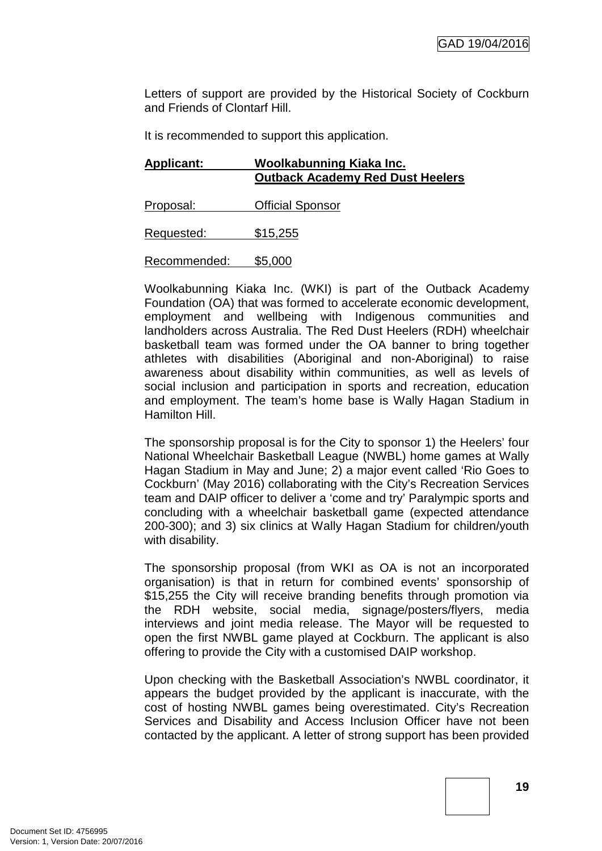Letters of support are provided by the Historical Society of Cockburn and Friends of Clontarf Hill.

It is recommended to support this application.

| <b>Applicant:</b> | Woolkabunning Kiaka Inc.<br><b>Outback Academy Red Dust Heelers</b> |
|-------------------|---------------------------------------------------------------------|
| Proposal:         | <b>Official Sponsor</b>                                             |
| Requested:        | \$15,255                                                            |
| Recommended:      | \$5,000                                                             |

Woolkabunning Kiaka Inc. (WKI) is part of the Outback Academy Foundation (OA) that was formed to accelerate economic development, employment and wellbeing with Indigenous communities and landholders across Australia. The Red Dust Heelers (RDH) wheelchair basketball team was formed under the OA banner to bring together athletes with disabilities (Aboriginal and non-Aboriginal) to raise awareness about disability within communities, as well as levels of social inclusion and participation in sports and recreation, education and employment. The team's home base is Wally Hagan Stadium in Hamilton Hill.

The sponsorship proposal is for the City to sponsor 1) the Heelers' four National Wheelchair Basketball League (NWBL) home games at Wally Hagan Stadium in May and June; 2) a major event called 'Rio Goes to Cockburn' (May 2016) collaborating with the City's Recreation Services team and DAIP officer to deliver a 'come and try' Paralympic sports and concluding with a wheelchair basketball game (expected attendance 200-300); and 3) six clinics at Wally Hagan Stadium for children/youth with disability.

The sponsorship proposal (from WKI as OA is not an incorporated organisation) is that in return for combined events' sponsorship of \$15,255 the City will receive branding benefits through promotion via the RDH website, social media, signage/posters/flyers, media interviews and joint media release. The Mayor will be requested to open the first NWBL game played at Cockburn. The applicant is also offering to provide the City with a customised DAIP workshop.

Upon checking with the Basketball Association's NWBL coordinator, it appears the budget provided by the applicant is inaccurate, with the cost of hosting NWBL games being overestimated. City's Recreation Services and Disability and Access Inclusion Officer have not been contacted by the applicant. A letter of strong support has been provided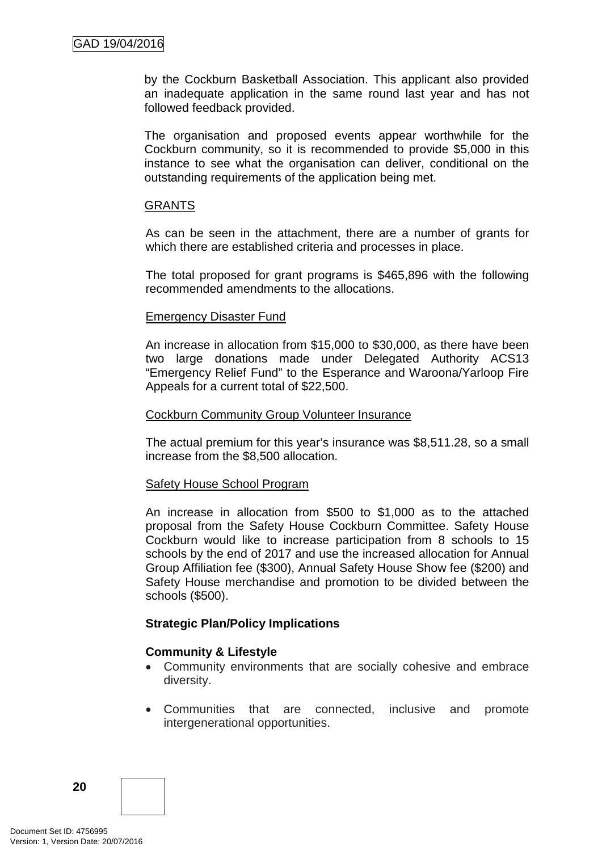by the Cockburn Basketball Association. This applicant also provided an inadequate application in the same round last year and has not followed feedback provided.

The organisation and proposed events appear worthwhile for the Cockburn community, so it is recommended to provide \$5,000 in this instance to see what the organisation can deliver, conditional on the outstanding requirements of the application being met.

#### **GRANTS**

As can be seen in the attachment, there are a number of grants for which there are established criteria and processes in place.

The total proposed for grant programs is \$465,896 with the following recommended amendments to the allocations.

#### Emergency Disaster Fund

An increase in allocation from \$15,000 to \$30,000, as there have been two large donations made under Delegated Authority ACS13 "Emergency Relief Fund" to the Esperance and Waroona/Yarloop Fire Appeals for a current total of \$22,500.

#### Cockburn Community Group Volunteer Insurance

The actual premium for this year's insurance was \$8,511.28, so a small increase from the \$8,500 allocation.

#### Safety House School Program

An increase in allocation from \$500 to \$1,000 as to the attached proposal from the Safety House Cockburn Committee. Safety House Cockburn would like to increase participation from 8 schools to 15 schools by the end of 2017 and use the increased allocation for Annual Group Affiliation fee (\$300), Annual Safety House Show fee (\$200) and Safety House merchandise and promotion to be divided between the schools (\$500).

# **Strategic Plan/Policy Implications**

#### **Community & Lifestyle**

- Community environments that are socially cohesive and embrace diversity.
- Communities that are connected, inclusive and promote intergenerational opportunities.

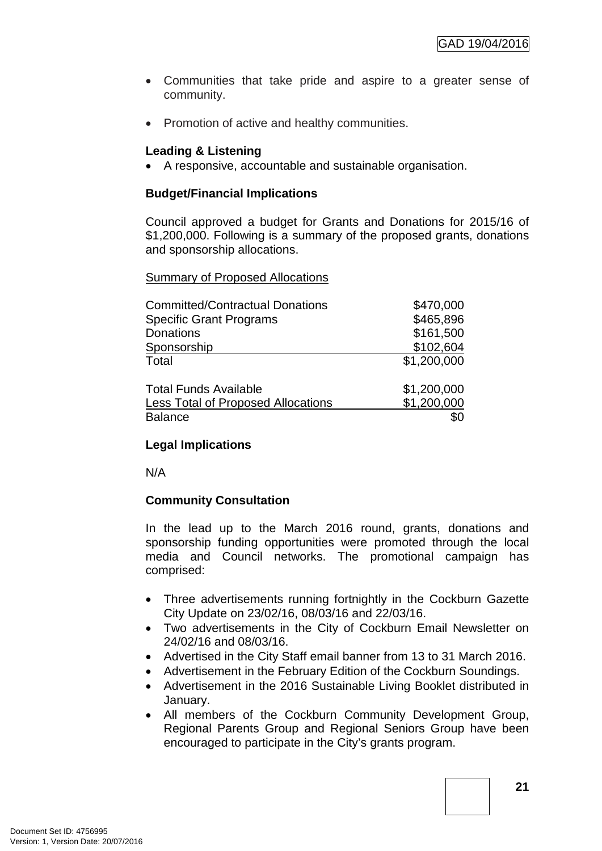- Communities that take pride and aspire to a greater sense of community.
- Promotion of active and healthy communities.

# **Leading & Listening**

• A responsive, accountable and sustainable organisation.

# **Budget/Financial Implications**

Council approved a budget for Grants and Donations for 2015/16 of \$1,200,000. Following is a summary of the proposed grants, donations and sponsorship allocations.

**Summary of Proposed Allocations** 

| <b>Committed/Contractual Donations</b>    | \$470,000   |
|-------------------------------------------|-------------|
| <b>Specific Grant Programs</b>            | \$465,896   |
| <b>Donations</b>                          | \$161,500   |
| Sponsorship                               | \$102,604   |
| Total                                     | \$1,200,000 |
| <b>Total Funds Available</b>              | \$1,200,000 |
| <b>Less Total of Proposed Allocations</b> | \$1,200,000 |
| <b>Balance</b>                            |             |

# **Legal Implications**

N/A

# **Community Consultation**

In the lead up to the March 2016 round, grants, donations and sponsorship funding opportunities were promoted through the local media and Council networks. The promotional campaign has comprised:

- Three advertisements running fortnightly in the Cockburn Gazette City Update on 23/02/16, 08/03/16 and 22/03/16.
- Two advertisements in the City of Cockburn Email Newsletter on 24/02/16 and 08/03/16.
- Advertised in the City Staff email banner from 13 to 31 March 2016.
- Advertisement in the February Edition of the Cockburn Soundings.
- Advertisement in the 2016 Sustainable Living Booklet distributed in January.
- All members of the Cockburn Community Development Group, Regional Parents Group and Regional Seniors Group have been encouraged to participate in the City's grants program.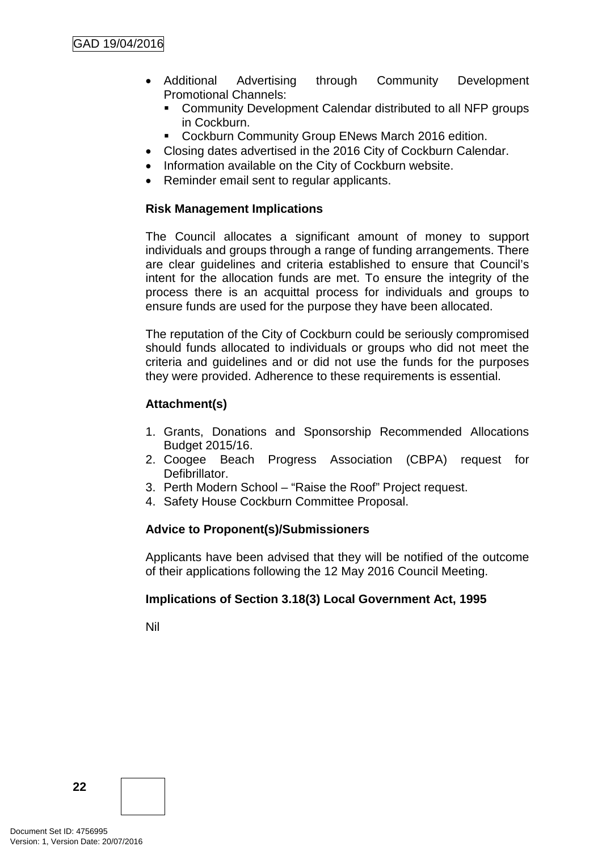- Additional Advertising through Community Development Promotional Channels:
	- Community Development Calendar distributed to all NFP groups in Cockburn.
	- Cockburn Community Group ENews March 2016 edition.
- Closing dates advertised in the 2016 City of Cockburn Calendar.
- Information available on the City of Cockburn website.
- Reminder email sent to regular applicants.

# **Risk Management Implications**

The Council allocates a significant amount of money to support individuals and groups through a range of funding arrangements. There are clear guidelines and criteria established to ensure that Council's intent for the allocation funds are met. To ensure the integrity of the process there is an acquittal process for individuals and groups to ensure funds are used for the purpose they have been allocated.

The reputation of the City of Cockburn could be seriously compromised should funds allocated to individuals or groups who did not meet the criteria and guidelines and or did not use the funds for the purposes they were provided. Adherence to these requirements is essential.

# **Attachment(s)**

- 1. Grants, Donations and Sponsorship Recommended Allocations Budget 2015/16.
- 2. Coogee Beach Progress Association (CBPA) request for **Defibrillator**
- 3. Perth Modern School "Raise the Roof" Project request.
- 4. Safety House Cockburn Committee Proposal.

# **Advice to Proponent(s)/Submissioners**

Applicants have been advised that they will be notified of the outcome of their applications following the 12 May 2016 Council Meeting.

# **Implications of Section 3.18(3) Local Government Act, 1995**

Nil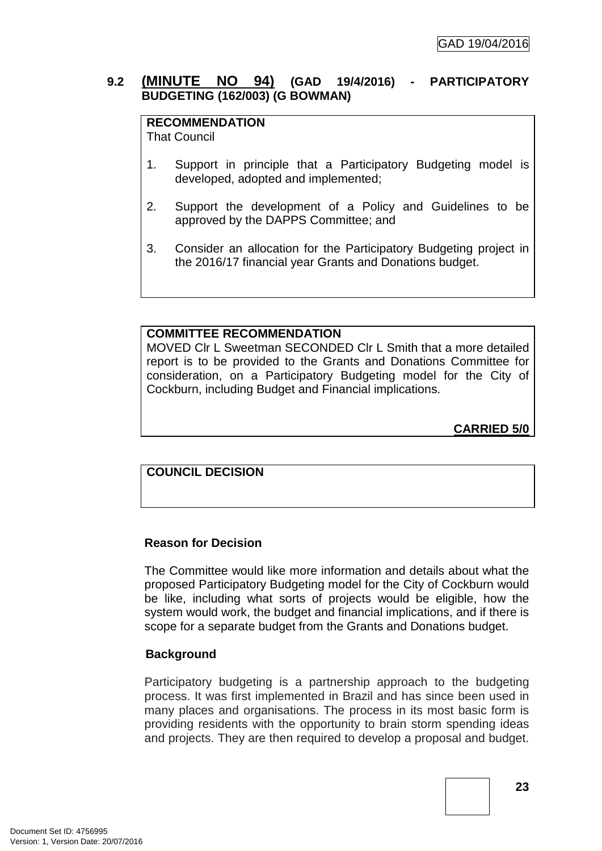# **9.2 (MINUTE NO 94) (GAD 19/4/2016) - PARTICIPATORY BUDGETING (162/003) (G BOWMAN)**

# **RECOMMENDATION**

That Council

- 1. Support in principle that a Participatory Budgeting model is developed, adopted and implemented;
- 2. Support the development of a Policy and Guidelines to be approved by the DAPPS Committee; and
- 3. Consider an allocation for the Participatory Budgeting project in the 2016/17 financial year Grants and Donations budget.

# **COMMITTEE RECOMMENDATION**

MOVED Clr L Sweetman SECONDED Clr L Smith that a more detailed report is to be provided to the Grants and Donations Committee for consideration, on a Participatory Budgeting model for the City of Cockburn, including Budget and Financial implications.

**CARRIED 5/0**

# **COUNCIL DECISION**

# **Reason for Decision**

The Committee would like more information and details about what the proposed Participatory Budgeting model for the City of Cockburn would be like, including what sorts of projects would be eligible, how the system would work, the budget and financial implications, and if there is scope for a separate budget from the Grants and Donations budget.

# **Background**

Participatory budgeting is a partnership approach to the budgeting process. It was first implemented in Brazil and has since been used in many places and organisations. The process in its most basic form is providing residents with the opportunity to brain storm spending ideas and projects. They are then required to develop a proposal and budget.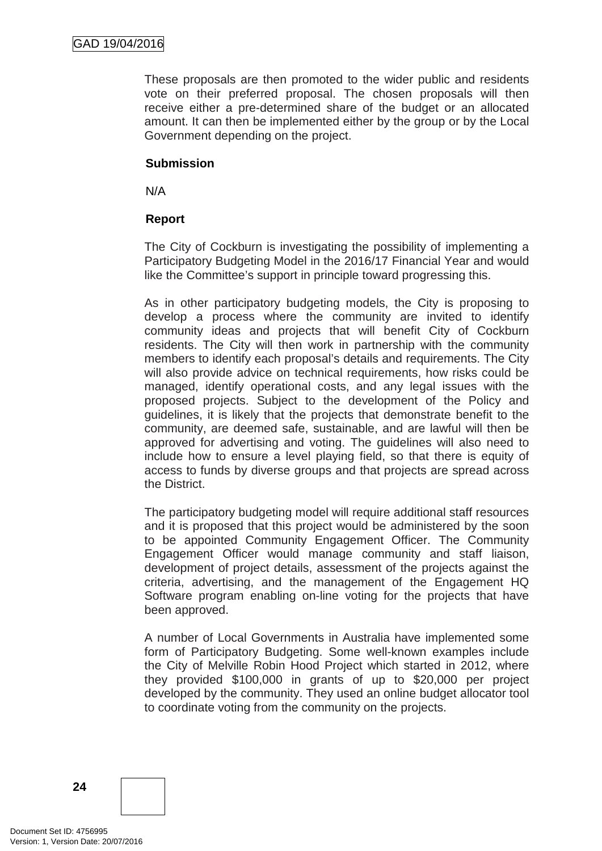These proposals are then promoted to the wider public and residents vote on their preferred proposal. The chosen proposals will then receive either a pre-determined share of the budget or an allocated amount. It can then be implemented either by the group or by the Local Government depending on the project.

### **Submission**

N/A

# **Report**

The City of Cockburn is investigating the possibility of implementing a Participatory Budgeting Model in the 2016/17 Financial Year and would like the Committee's support in principle toward progressing this.

As in other participatory budgeting models, the City is proposing to develop a process where the community are invited to identify community ideas and projects that will benefit City of Cockburn residents. The City will then work in partnership with the community members to identify each proposal's details and requirements. The City will also provide advice on technical requirements, how risks could be managed, identify operational costs, and any legal issues with the proposed projects. Subject to the development of the Policy and guidelines, it is likely that the projects that demonstrate benefit to the community, are deemed safe, sustainable, and are lawful will then be approved for advertising and voting. The guidelines will also need to include how to ensure a level playing field, so that there is equity of access to funds by diverse groups and that projects are spread across the District.

The participatory budgeting model will require additional staff resources and it is proposed that this project would be administered by the soon to be appointed Community Engagement Officer. The Community Engagement Officer would manage community and staff liaison, development of project details, assessment of the projects against the criteria, advertising, and the management of the Engagement HQ Software program enabling on-line voting for the projects that have been approved.

A number of Local Governments in Australia have implemented some form of Participatory Budgeting. Some well-known examples include the City of Melville Robin Hood Project which started in 2012, where they provided \$100,000 in grants of up to \$20,000 per project developed by the community. They used an online budget allocator tool to coordinate voting from the community on the projects.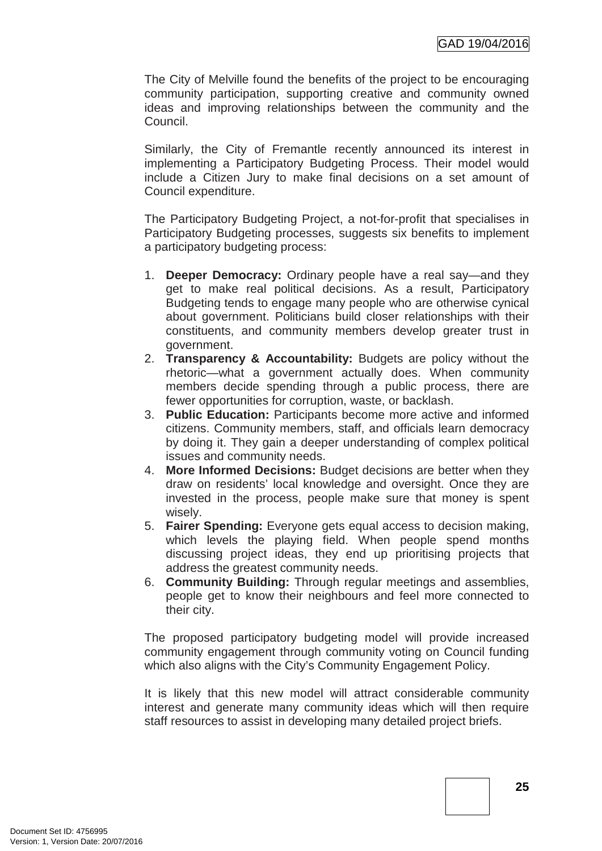The City of Melville found the benefits of the project to be encouraging community participation, supporting creative and community owned ideas and improving relationships between the community and the Council.

Similarly, the City of Fremantle recently announced its interest in implementing a Participatory Budgeting Process. Their model would include a Citizen Jury to make final decisions on a set amount of Council expenditure.

The Participatory Budgeting Project, a not-for-profit that specialises in Participatory Budgeting processes, suggests six benefits to implement a participatory budgeting process:

- 1. **Deeper Democracy:** Ordinary people have a real say—and they get to make real political decisions. As a result, Participatory Budgeting tends to engage many people who are otherwise cynical about government. Politicians build closer relationships with their constituents, and community members develop greater trust in government.
- 2. **Transparency & Accountability:** Budgets are policy without the rhetoric—what a government actually does. When community members decide spending through a public process, there are fewer opportunities for corruption, waste, or backlash.
- 3. **Public Education:** Participants become more active and informed citizens. Community members, staff, and officials learn democracy by doing it. They gain a deeper understanding of complex political issues and community needs.
- 4. **More Informed Decisions:** Budget decisions are better when they draw on residents' local knowledge and oversight. Once they are invested in the process, people make sure that money is spent wisely.
- 5. **Fairer Spending:** Everyone gets equal access to decision making, which levels the playing field. When people spend months discussing project ideas, they end up prioritising projects that address the greatest community needs.
- 6. **Community Building:** Through regular meetings and assemblies, people get to know their neighbours and feel more connected to their city.

The proposed participatory budgeting model will provide increased community engagement through community voting on Council funding which also aligns with the City's Community Engagement Policy.

It is likely that this new model will attract considerable community interest and generate many community ideas which will then require staff resources to assist in developing many detailed project briefs.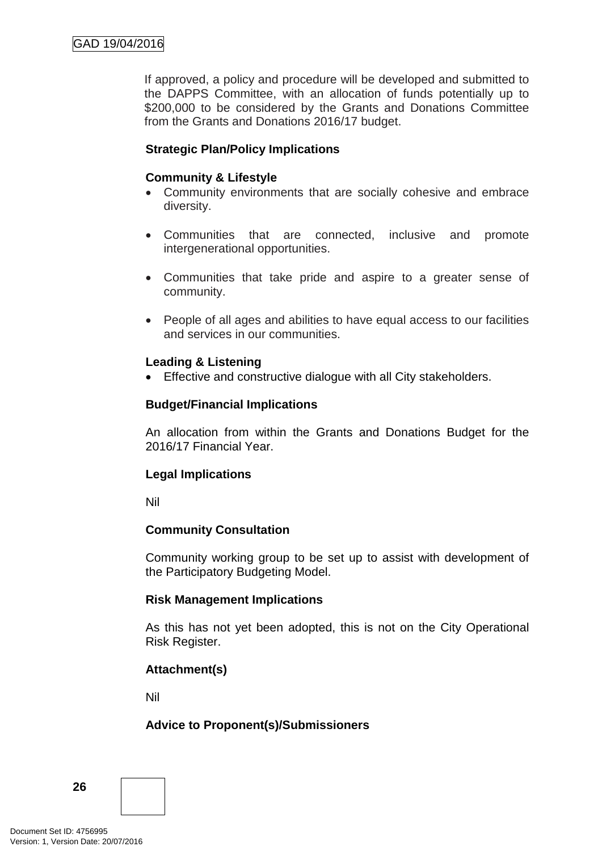If approved, a policy and procedure will be developed and submitted to the DAPPS Committee, with an allocation of funds potentially up to \$200,000 to be considered by the Grants and Donations Committee from the Grants and Donations 2016/17 budget.

# **Strategic Plan/Policy Implications**

# **Community & Lifestyle**

- Community environments that are socially cohesive and embrace diversity.
- Communities that are connected, inclusive and promote intergenerational opportunities.
- Communities that take pride and aspire to a greater sense of community.
- People of all ages and abilities to have equal access to our facilities and services in our communities.

# **Leading & Listening**

• Effective and constructive dialogue with all City stakeholders.

# **Budget/Financial Implications**

An allocation from within the Grants and Donations Budget for the 2016/17 Financial Year.

# **Legal Implications**

Nil

# **Community Consultation**

Community working group to be set up to assist with development of the Participatory Budgeting Model.

# **Risk Management Implications**

As this has not yet been adopted, this is not on the City Operational Risk Register.

# **Attachment(s)**

Nil

# **Advice to Proponent(s)/Submissioners**